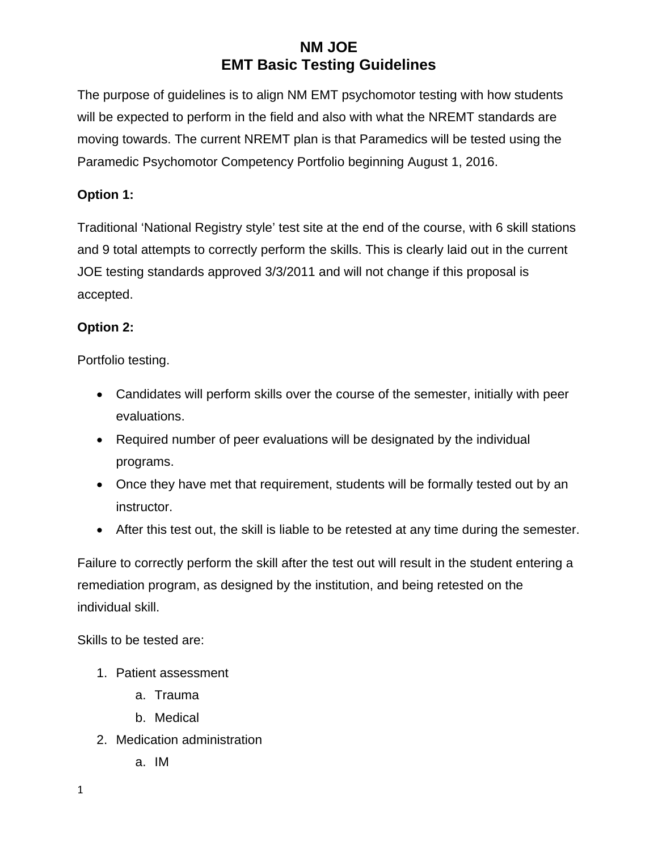The purpose of guidelines is to align NM EMT psychomotor testing with how students will be expected to perform in the field and also with what the NREMT standards are moving towards. The current NREMT plan is that Paramedics will be tested using the Paramedic Psychomotor Competency Portfolio beginning August 1, 2016.

#### **Option 1:**

Traditional 'National Registry style' test site at the end of the course, with 6 skill stations and 9 total attempts to correctly perform the skills. This is clearly laid out in the current JOE testing standards approved 3/3/2011 and will not change if this proposal is accepted.

#### **Option 2:**

Portfolio testing.

- Candidates will perform skills over the course of the semester, initially with peer evaluations.
- Required number of peer evaluations will be designated by the individual programs.
- Once they have met that requirement, students will be formally tested out by an instructor.
- After this test out, the skill is liable to be retested at any time during the semester.

Failure to correctly perform the skill after the test out will result in the student entering a remediation program, as designed by the institution, and being retested on the individual skill.

Skills to be tested are:

- 1. Patient assessment
	- a. Trauma
	- b. Medical
- 2. Medication administration
	- a. IM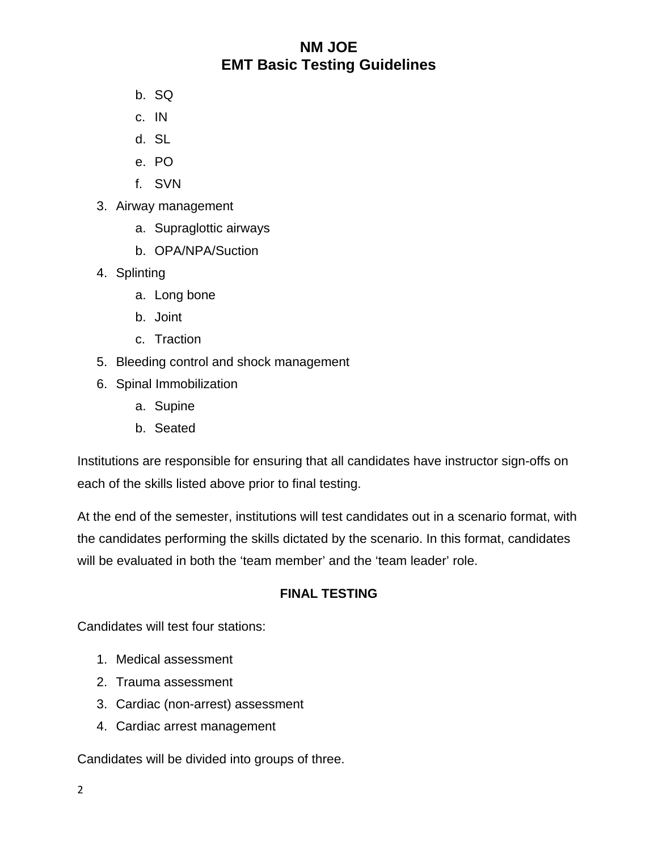- b. SQ
- c. IN
- d. SL
- e. PO
- f. SVN
- 3. Airway management
	- a. Supraglottic airways
	- b. OPA/NPA/Suction
- 4. Splinting
	- a. Long bone
	- b. Joint
	- c. Traction
- 5. Bleeding control and shock management
- 6. Spinal Immobilization
	- a. Supine
	- b. Seated

Institutions are responsible for ensuring that all candidates have instructor sign-offs on each of the skills listed above prior to final testing.

At the end of the semester, institutions will test candidates out in a scenario format, with the candidates performing the skills dictated by the scenario. In this format, candidates will be evaluated in both the 'team member' and the 'team leader' role.

#### **FINAL TESTING**

Candidates will test four stations:

- 1. Medical assessment
- 2. Trauma assessment
- 3. Cardiac (non-arrest) assessment
- 4. Cardiac arrest management

Candidates will be divided into groups of three.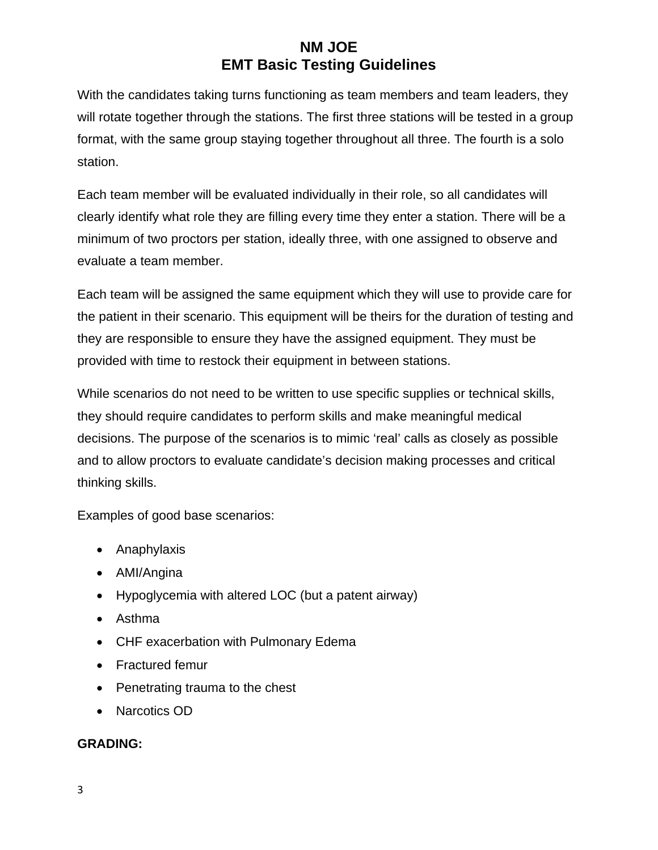With the candidates taking turns functioning as team members and team leaders, they will rotate together through the stations. The first three stations will be tested in a group format, with the same group staying together throughout all three. The fourth is a solo station.

Each team member will be evaluated individually in their role, so all candidates will clearly identify what role they are filling every time they enter a station. There will be a minimum of two proctors per station, ideally three, with one assigned to observe and evaluate a team member.

Each team will be assigned the same equipment which they will use to provide care for the patient in their scenario. This equipment will be theirs for the duration of testing and they are responsible to ensure they have the assigned equipment. They must be provided with time to restock their equipment in between stations.

While scenarios do not need to be written to use specific supplies or technical skills, they should require candidates to perform skills and make meaningful medical decisions. The purpose of the scenarios is to mimic 'real' calls as closely as possible and to allow proctors to evaluate candidate's decision making processes and critical thinking skills.

Examples of good base scenarios:

- Anaphylaxis
- AMI/Angina
- Hypoglycemia with altered LOC (but a patent airway)
- Asthma
- CHF exacerbation with Pulmonary Edema
- Fractured femur
- Penetrating trauma to the chest
- Narcotics OD

### **GRADING:**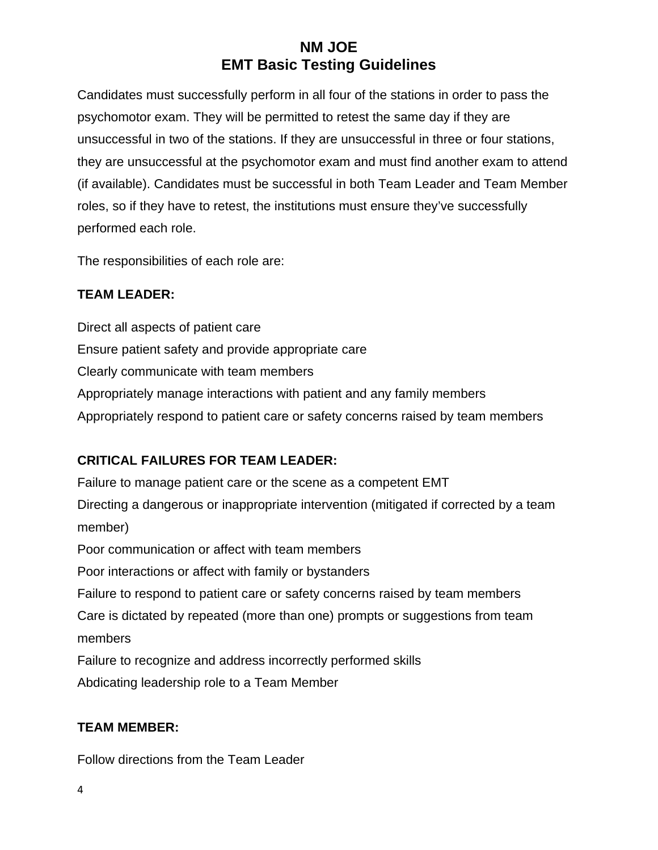Candidates must successfully perform in all four of the stations in order to pass the psychomotor exam. They will be permitted to retest the same day if they are unsuccessful in two of the stations. If they are unsuccessful in three or four stations, they are unsuccessful at the psychomotor exam and must find another exam to attend (if available). Candidates must be successful in both Team Leader and Team Member roles, so if they have to retest, the institutions must ensure they've successfully performed each role.

The responsibilities of each role are:

### **TEAM LEADER:**

Direct all aspects of patient care Ensure patient safety and provide appropriate care Clearly communicate with team members Appropriately manage interactions with patient and any family members Appropriately respond to patient care or safety concerns raised by team members

### **CRITICAL FAILURES FOR TEAM LEADER:**

Failure to manage patient care or the scene as a competent EMT Directing a dangerous or inappropriate intervention (mitigated if corrected by a team member) Poor communication or affect with team members Poor interactions or affect with family or bystanders Failure to respond to patient care or safety concerns raised by team members Care is dictated by repeated (more than one) prompts or suggestions from team members Failure to recognize and address incorrectly performed skills Abdicating leadership role to a Team Member

#### **TEAM MEMBER:**

Follow directions from the Team Leader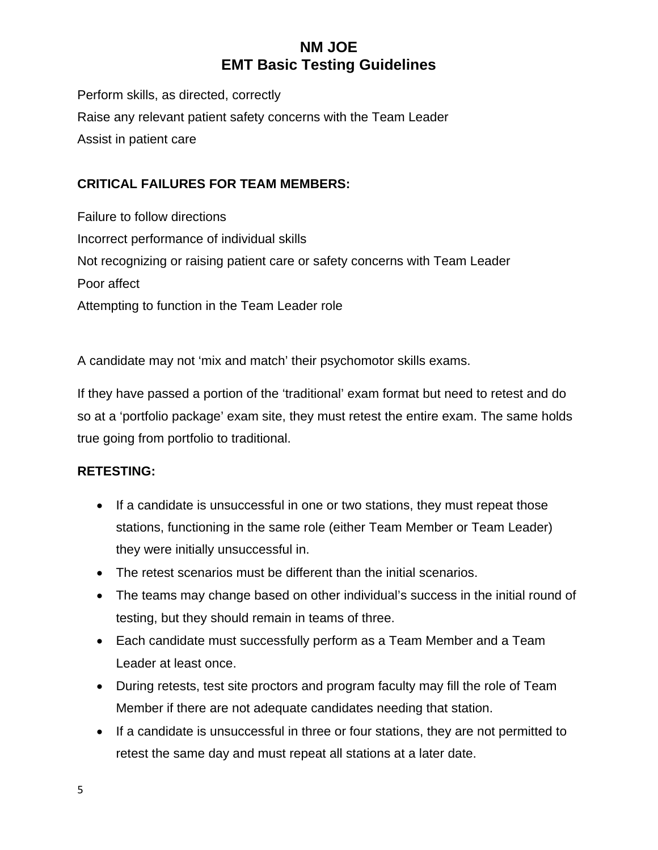Perform skills, as directed, correctly Raise any relevant patient safety concerns with the Team Leader Assist in patient care

### **CRITICAL FAILURES FOR TEAM MEMBERS:**

Failure to follow directions Incorrect performance of individual skills Not recognizing or raising patient care or safety concerns with Team Leader Poor affect Attempting to function in the Team Leader role

A candidate may not 'mix and match' their psychomotor skills exams.

If they have passed a portion of the 'traditional' exam format but need to retest and do so at a 'portfolio package' exam site, they must retest the entire exam. The same holds true going from portfolio to traditional.

#### **RETESTING:**

- If a candidate is unsuccessful in one or two stations, they must repeat those stations, functioning in the same role (either Team Member or Team Leader) they were initially unsuccessful in.
- The retest scenarios must be different than the initial scenarios.
- The teams may change based on other individual's success in the initial round of testing, but they should remain in teams of three.
- Each candidate must successfully perform as a Team Member and a Team Leader at least once.
- During retests, test site proctors and program faculty may fill the role of Team Member if there are not adequate candidates needing that station.
- If a candidate is unsuccessful in three or four stations, they are not permitted to retest the same day and must repeat all stations at a later date.